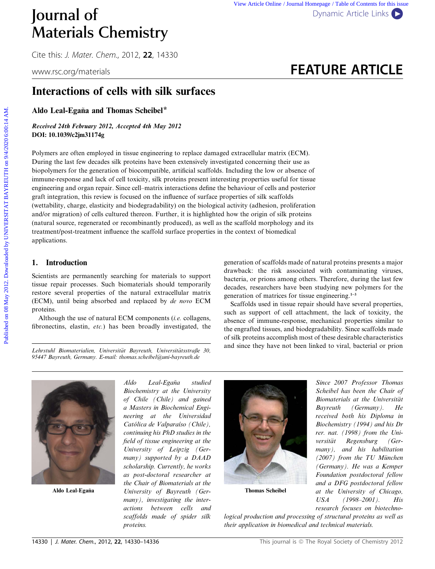# Materials Chemistry

Cite this: J. Mater. Chem., 2012, <sup>22</sup>, 14330

# View Article Online / Journal Homepage / Table of Contents for this issue<br> **JOUTNAI OF** [Dynamic Article Links](http://dx.doi.org/10.1039/c2jm31174g)

## www.rsc.org/materials **FEATURE ARTICLE**

### Interactions of cells with silk surfaces

Aldo Leal-Egaña and Thomas Scheibel\*

Received 24th February 2012, Accepted 4th May 2012 DOI: 10.1039/c2jm31174g

Polymers are often employed in tissue engineering to replace damaged extracellular matrix (ECM). During the last few decades silk proteins have been extensively investigated concerning their use as biopolymers for the generation of biocompatible, artificial scaffolds. Including the low or absence of immune-response and lack of cell toxicity, silk proteins present interesting properties useful for tissue engineering and organ repair. Since cell–matrix interactions define the behaviour of cells and posterior graft integration, this review is focused on the influence of surface properties of silk scaffolds (wettability, charge, elasticity and biodegradability) on the biological activity (adhesion, proliferation and/or migration) of cells cultured thereon. Further, it is highlighted how the origin of silk proteins (natural source, regenerated or recombinantly produced), as well as the scaffold morphology and its treatment/post-treatment influence the scaffold surface properties in the context of biomedical applications. **PUBLIME SUBLIME ARTICLE**<br> **PUBLISHER SUBLIME ARTICLE**<br> **PUBLISHER SUBLIME ARTICLE**<br> **Interactions of cells with silk surfaces**<br> **EATURE ARTICLE**<br> **Interactions of cells with silk surfaces**<br> **Able Leal-Egann and Thomas Sc** 

#### 1. Introduction

Scientists are permanently searching for materials to support tissue repair processes. Such biomaterials should temporarily restore several properties of the natural extracellular matrix (ECM), until being absorbed and replaced by de novo ECM proteins.

Although the use of natural ECM components (i.e. collagens, fibronectins, elastin, etc.) has been broadly investigated, the

Lehrstuhl Biomaterialien, Universität Bayreuth, Universitätsstraße 30, 95447 Bayreuth, Germany. E-mail: thomas.scheibel@uni-bayreuth.de

generation of scaffolds made of natural proteins presents a major drawback: the risk associated with contaminating viruses, bacteria, or prions among others. Therefore, during the last few decades, researchers have been studying new polymers for the generation of matrices for tissue engineering. $1-3$ 

Scaffolds used in tissue repair should have several properties, such as support of cell attachment, the lack of toxicity, the absence of immune-response, mechanical properties similar to the engrafted tissues, and biodegradability. Since scaffolds made of silk proteins accomplish most of these desirable characteristics and since they have not been linked to viral, bacterial or prion



Aldo Leal-Egaña

Aldo Leal-Egaña studied Biochemistry at the University of Chile (Chile) and gained a Masters in Biochemical Engineering at the Universidad Católica de Valparaíso (Chile), continuing his PhD studies in the field of tissue engineering at the University of Leipzig (Germany) supported by a DAAD scholarship. Currently, he works as post-doctoral researcher at the Chair of Biomaterials at the University of Bayreuth (Germany), investigating the interactions between cells and scaffolds made of spider silk proteins.



Thomas Scheibel

Since 2007 Professor Thomas Scheibel has been the Chair of Biomaterials at the Universität Bayreuth (Germany). He received both his Diploma in Biochemistry (1994) and his Dr rer. nat. (1998) from the Universität Regensburg (Germany), and his habilitation  $(2007)$  from the TU München (Germany). He was a Kemper Foundation postdoctoral fellow and a DFG postdoctoral fellow at the University of Chicago, USA (1998–2001). His research focuses on biotechno-

logical production and processing of structural proteins as well as their application in biomedical and technical materials.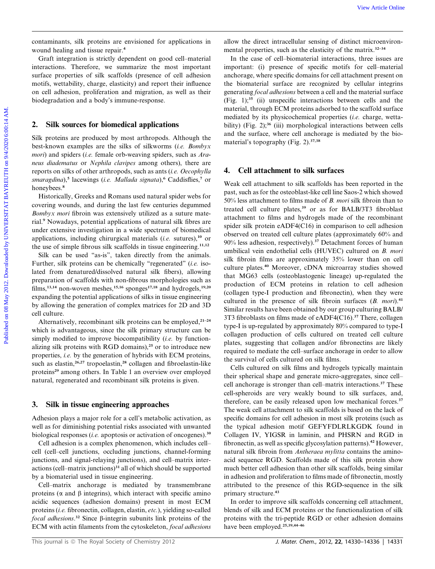contaminants, silk proteins are envisioned for applications in wound healing and tissue repair.<sup>4</sup>

Graft integration is strictly dependent on good cell–material interactions. Therefore, we summarize the most important surface properties of silk scaffolds (presence of cell adhesion motifs, wettability, charge, elasticity) and report their influence on cell adhesion, proliferation and migration, as well as their biodegradation and a body's immune-response.

#### 2. Silk sources for biomedical applications

Silk proteins are produced by most arthropods. Although the best-known examples are the silks of silkworms (i.e. Bombyx mori) and spiders (i.e. female orb-weaving spiders, such as Araneus diadematus or Nephila clavipes among others), there are reports on silks of other arthropods, such as ants (i.e. Oecophylla smaragdina),<sup>5</sup> lacewings (*i.e. Mallada signata*),<sup>6</sup> Caddisflies,<sup>7</sup> or honeybees.<sup>8</sup>

Historically, Greeks and Romans used natural spider webs for covering wounds, and during the last few centuries degummed Bombyx mori fibroin was extensively utilized as a suture material.<sup>9</sup> Nowadays, potential applications of natural silk fibres are under extensive investigation in a wide spectrum of biomedical applications, including chirurgical materials  $(i.e.$  sutures),<sup>10</sup> or the use of simple fibrous silk scaffolds in tissue engineering.<sup>11,12</sup>

Silk can be used "as-is", taken directly from the animals. Further, silk proteins can be chemically "regenerated" (*i.e.* isolated from denatured/dissolved natural silk fibers), allowing preparation of scaffolds with non-fibrous morphologies such as films,<sup>13,14</sup> non-woven meshes,<sup>15,16</sup> sponges<sup>17,18</sup> and hydrogels,<sup>19,20</sup> expanding the potential applications of silks in tissue engineering by allowing the generation of complex matrices for 2D and 3D cell culture.

Alternatively, recombinant silk proteins can be employed, $21-24$ which is advantageous, since the silk primary structure can be simply modified to improve biocompatibility (*i.e.* by functionalizing silk proteins with RGD domains), $25$  or to introduce new properties, i.e. by the generation of hybrids with ECM proteins, such as elastin,<sup>26,27</sup> tropoelastin,<sup>28</sup> collagen and fibroelastin-like proteins<sup>29</sup> among others. In Table 1 an overview over employed natural, regenerated and recombinant silk proteins is given.

#### 3. Silk in tissue engineering approaches

Adhesion plays a major role for a cell's metabolic activation, as well as for diminishing potential risks associated with unwanted biological responses (*i.e.* apoptosis or activation of oncogenes).<sup>30</sup>

Cell adhesion is a complex phenomenon, which includes cell– cell (cell–cell junctions, occluding junctions, channel-forming junctions, and signal-relaying junctions), and cell–matrix interactions (cell–matrix junctions)<sup>31</sup> all of which should be supported by a biomaterial used in tissue engineering.

Cell–matrix anchorage is mediated by transmembrane proteins ( $\alpha$  and  $\beta$  integrins), which interact with specific amino acidic sequences (adhesion domains) present in most ECM proteins (i.e. fibronectin, collagen, elastin, etc.), yielding so-called focal adhesions.<sup>32</sup> Since  $\beta$ -integrin subunits link proteins of the ECM with actin filaments from the cytoskeleton *focal adhesions* ECM with actin filaments from the cytoskeleton, focal adhesions allow the direct intracellular sensing of distinct microenvironmental properties, such as the elasticity of the matrix.32–34

In the case of cell–biomaterial interactions, three issues are important: (i) presence of specific motifs for cell–material anchorage, where specific domains for cell attachment present on the biomaterial surface are recognized by cellular integrins generating focal adhesions between a cell and the material surface (Fig. 1);<sup>35</sup> (ii) unspecific interactions between cells and the material, through ECM proteins adsorbed to the scaffold surface mediated by its physicochemical properties (i.e. charge, wettability) (Fig. 2);<sup>36</sup> (iii) morphological interactions between cells and the surface, where cell anchorage is mediated by the biomaterial's topography (Fig. 2).37,38

#### 4. Cell attachment to silk surfaces

Weak cell attachment to silk scaffolds has been reported in the past, such as for the osteoblast-like cell line Saos-2 which showed 50% less attachment to films made of B. mori silk fibroin than to treated cell culture plates,<sup>39</sup> or as for BALB/3T3 fibroblast attachment to films and hydrogels made of the recombinant spider silk protein eADF4(C16) in comparison to cell adhesion observed on treated cell culture plates (approximately 60% and 90% less adhesion, respectively).<sup>37</sup> Detachment forces of human umbilical vein endothelial cells (HUVEC) cultured on B. mori silk fibroin films are approximately 35% lower than on cell culture plates.<sup>40</sup> Moreover, cDNA microarray studies showed that MG63 cells (osteoblastogenic lineage) up-regulated the production of ECM proteins in relation to cell adhesion (collagen type-I production and fibronectin), when they were cultured in the presence of silk fibroin surfaces  $(B. mori)^{41}$ Similar results have been obtained by our group culturing BALB/ 3T3 fibroblasts on films made of eADF4(C16).<sup>37</sup> There, collagen type-I is up-regulated by approximately 80% compared to type-I collagen production of cells cultured on treated cell culture plates, suggesting that collagen and/or fibronectins are likely required to mediate the cell–surface anchorage in order to allow the survival of cells cultured on silk films. We have a contentrimate, silk proteins are envisioned for applications in allow the direct intractional ventity of the simulation terms of the case of call binaries of the direct one interaction of the simulation of the m

> Cells cultured on silk films and hydrogels typically maintain their spherical shape and generate micro-aggregates, since cell– cell anchorage is stronger than cell–matrix interactions.<sup>37</sup> These cell-spheroids are very weakly bound to silk surfaces, and, therefore, can be easily released upon low mechanical forces.<sup>37</sup> The weak cell attachment to silk scaffolds is based on the lack of specific domains for cell adhesion in most silk proteins (such as the typical adhesion motif GEFYFDLRLKGDK found in Collagen IV, YIGSR in laminin, and PHSRN and RGD in fibronectin, as well as specific glycosylation patterns).<sup>42</sup> However, natural silk fibroin from Antheraea mylitta contains the aminoacid sequence RGD. Scaffolds made of this silk protein show much better cell adhesion than other silk scaffolds, being similar in adhesion and proliferation to films made of fibronectin, mostly attributed to the presence of this RGD-sequence in the silk primary structure.<sup>43</sup>

> In order to improve silk scaffolds concerning cell attachment, blends of silk and ECM proteins or the functionalization of silk proteins with the tri-peptide RGD or other adhesion domains have been employed.<sup>25,39,44-46</sup>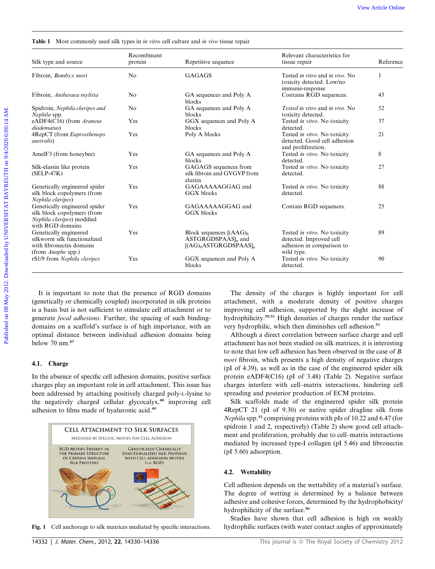Table 1 Most commonly used silk types in *in vitro* cell culture and *in vivo* tissue repair

| Silk type and source                                                                                           | Recombinant<br>protein | Repetitive sequence                                                                  | Relevant characteristics for<br>tissue repair                                                      | Reference    |
|----------------------------------------------------------------------------------------------------------------|------------------------|--------------------------------------------------------------------------------------|----------------------------------------------------------------------------------------------------|--------------|
| Fibroin, Bombyx mori                                                                                           | No                     | <b>GAGAGS</b>                                                                        | Tested in vitro and in vivo. No<br>toxicity detected. Low/no<br>immune-response                    | $\mathbf{1}$ |
| Fibroin, Antheraea mylitta                                                                                     | No.                    | GA sequences and Poly A<br>blocks                                                    | Contains RGD sequences.                                                                            | 43           |
| Spidroin, Nephila clavipes and<br>Nephila spp.                                                                 | No                     | GA sequences and Poly A<br>blocks                                                    | Tested in vitro and in vivo. No<br>toxicity detected.                                              | 52           |
| eADF4(C16) (from Araneus<br>diadematus)                                                                        | Yes                    | GGX sequences and Poly A<br>blocks                                                   | Tested in vitro. No toxicity<br>detected.                                                          | 37           |
| 4RepCT (from Euprosthenops<br><i>australis</i> )                                                               | Yes                    | Poly A blocks                                                                        | Tested in vitro. No toxicity<br>detected. Good cell adhesion<br>and proliferation.                 | 21           |
| AmelF3 (from honeybee)                                                                                         | Yes                    | GA sequences and Poly A<br>blocks                                                    | Tested in vitro. No toxicity<br>detected.                                                          | 8            |
| Silk-elastin like protein<br>$(SELP-47K)$                                                                      | Yes                    | GAGAGS sequences from<br>silk fibroin and GVGVP from<br>elastin                      | Tested in vitro. No toxicity<br>detected.                                                          | 27           |
| Genetically engineered spider<br>silk block copolymers (from<br>Nephila clavipes)                              | Yes                    | GAGAAAAAGGAG and<br>GGX blocks                                                       | Tested in vitro. No toxicity<br>detected.                                                          | 88           |
| Genetically engineered spider<br>silk block copolymers (from<br>Nephila clavipes) modified<br>with RGD domains | Yes                    | GAGAAAAAGGAG and<br><b>GGX</b> blocks                                                | Contain RGD sequences.                                                                             | 25           |
| Genetically engineered<br>silkworm silk functionalized<br>with fibronectin domains<br>(from Anaphe spp.)       | Yes                    | Block sequences $[(AAG)_6]$<br>$ASTGRGDSPAAS]_n$ and<br>$[(AG)_{9}ASTGRGDSPAAS]_{n}$ | Tested in vitro. No toxicity<br>detected. Improved cell<br>adhesion in comparison to<br>wild type. | 89           |
| rS1/9 from Nephila clavipes                                                                                    | Yes                    | GGX sequences and Poly A<br>blocks                                                   | Tested in vitro. No toxicity<br>detected.                                                          | 90           |

It is important to note that the presence of RGD domains (genetically or chemically coupled) incorporated in silk proteins is a basis but is not sufficient to stimulate cell attachment or to generate focal adhesions. Further, the spacing of such bindingdomains on a scaffold's surface is of high importance, with an optimal distance between individual adhesion domains being below  $70 \text{ nm}$ .<sup>47</sup>

#### 4.1. Charge

In the absence of specific cell adhesion domains, positive surface charges play an important role in cell attachment. This issue has been addressed by attaching positively charged poly-L-lysine to the negatively charged cellular glycocalyx,<sup>48</sup> improving cell adhesion to films made of hyaluronic acid.<sup>49</sup>



Fig. 1 Cell anchorage to silk matrices mediated by specific interactions.

Although a direct correlation between surface charge and cell attachment has not been studied on silk matrices, it is interesting to note that low cell adhesion has been observed in the case of B. mori fibroin, which presents a high density of negative charges (pI of 4.39), as well as in the case of the engineered spider silk protein eADF4(C16) (pI of 3.48) (Table 2). Negative surface charges interfere with cell–matrix interactions, hindering cell spreading and posterior production of ECM proteins.

Silk scaffolds made of the engineered spider silk protein 4RepCT 21 (pI of 9.30) or native spider dragline silk from Nephila spp.<sup>52</sup> comprising proteins with pIs of 10.22 and 6.47 (for spidroin 1 and 2, respectively) (Table 2) show good cell attachment and proliferation, probably due to cell–matrix interactions mediated by increased type-I collagen (pI 5.46) and fibronectin (pI 5.60) adsorption.

#### 4.2. Wettability

Cell adhesion depends on the wettability of a material's surface. The degree of wetting is determined by a balance between adhesive and cohesive forces, determined by the hydrophobicity/ hydrophilicity of the surface.<sup>50</sup>

Studies have shown that cell adhesion is high on weakly hydrophilic surfaces (with water contact angles of approximately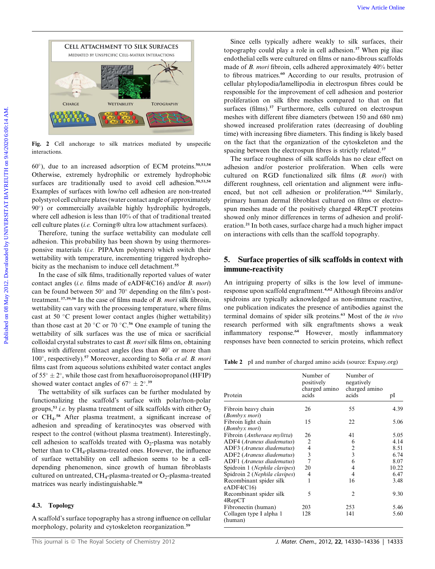

Fig. 2 Cell anchorage to silk matrices mediated by unspecific interactions.

60), due to an increased adsorption of ECM proteins.50,53,54 Otherwise, extremely hydrophilic or extremely hydrophobic surfaces are traditionally used to avoid cell adhesion.<sup>50,53,54</sup> Examples of surfaces with low/no cell adhesion are non-treated polystyrol cell culture plates (water contact angle of approximately 90) or commercially available highly hydrophilic hydrogels, where cell adhesion is less than 10% of that of traditional treated cell culture plates (*i.e*. Corning® ultra low attachment surfaces).

Therefore, tuning the surface wettability can modulate cell adhesion. This probability has been shown by using thermoresponsive materials (i.e. PIPAAm polymers) which switch their wettability with temperature, incrementing triggered hydrophobicity as the mechanism to induce cell detachment.<sup>55</sup>

In the case of silk films, traditionally reported values of water contact angles (i.e. films made of eADF4(C16) and/or B. mori) can be found between  $50^{\circ}$  and  $70^{\circ}$  depending on the film's posttreatment.<sup>37,39,56</sup> In the case of films made of *B. mori* silk fibroin, wettability can vary with the processing temperature, where films cast at 50  $\degree$ C present lower contact angles (higher wettability) than those cast at 20 °C or 70 °C.<sup>56</sup> One example of tuning the wettability of silk surfaces was the use of mica or sacrificial colloidal crystal substrates to cast B. mori silk films on, obtaining films with different contact angles (less than  $40^{\circ}$  or more than  $100^{\circ}$ , respectively).<sup>57</sup> Moreover, according to Sofia *et al. B. mori* films cast from aqueous solutions exhibited water contact angles of  $55^{\circ} \pm 2^{\circ}$ , while those cast from hexafluoroisopropanol (HFIP) showed water contact angles of  $67^{\circ} \pm 2^{\circ}$ .<sup>39</sup>

The wettability of silk surfaces can be further modulated by functionalizing the scaffold's surface with polar/non-polar groups,<sup>53</sup> i.e. by plasma treatment of silk scaffolds with either  $O_2$ or CH4. <sup>58</sup> After plasma treatment, a significant increase of adhesion and spreading of keratinocytes was observed with respect to the control (without plasma treatment). Interestingly, cell adhesion to scaffolds treated with  $O_2$ -plasma was notably better than to CH<sub>4</sub>-plasma-treated ones. However, the influence of surface wettability on cell adhesion seems to be a celldepending phenomenon, since growth of human fibroblasts cultured on untreated,  $CH_4$ -plasma-treated or  $O_2$ -plasma-treated matrices was nearly indistinguishable.<sup>58</sup>

#### 4.3. Topology

A scaffold's surface topography has a strong influence on cellular morphology, polarity and cytoskeleton reorganization.<sup>59</sup>

Since cells typically adhere weakly to silk surfaces, their topography could play a role in cell adhesion.<sup>37</sup> When pig iliac endothelial cells were cultured on films or nano-fibrous scaffolds made of B. mori fibroin, cells adhered approximately 40% better to fibrous matrices.<sup>60</sup> According to our results, protrusion of cellular phylopodia/lamellipodia in electrospun fibres could be responsible for the improvement of cell adhesion and posterior proliferation on silk fibre meshes compared to that on flat surfaces (films).<sup>37</sup> Furthermore, cells cultured on electrospun meshes with different fibre diameters (between 150 and 680 nm) showed increased proliferation rates (decreasing of doubling time) with increasing fibre diameters. This finding is likely based on the fact that the organization of the cytoskeleton and the spacing between the electrospun fibres is strictly related.<sup>37</sup> **Published on 1972.** The anti-control of the control of the state of the state of the state of the state of the state of the state of the state of the state of the state of the state of the state of the state of the state

The surface roughness of silk scaffolds has no clear effect on adhesion and/or posterior proliferation. When cells were cultured on RGD functionalized silk films (B. mori) with different roughness, cell orientation and alignment were influenced, but not cell adhesion or proliferation.<sup>14,61</sup> Similarly, primary human dermal fibroblast cultured on films or electrospun meshes made of the positively charged 4RepCT proteins showed only minor differences in terms of adhesion and proliferation.<sup>21</sup> In both cases, surface charge had a much higher impact on interactions with cells than the scaffold topography.

#### 5. Surface properties of silk scaffolds in context with immune-reactivity

An intriguing property of silks is the low level of immuneresponse upon scaffold engraftment.4,62 Although fibroins and/or spidroins are typically acknowledged as non-immune reactive, one publication indicates the presence of antibodies against the terminal domains of spider silk proteins.<sup>63</sup> Most of the in vivo research performed with silk engraftments shows a weak inflammatory response.<sup>64</sup> However, mostly inflammatory responses have been connected to sericin proteins, which reflect

Table 2 pI and number of charged amino acids (source: Expasy.org)

| Protein                            | Number of<br>positively<br>charged amino<br>acids | Number of<br>negatively<br>charged amino<br>acids | pI    |
|------------------------------------|---------------------------------------------------|---------------------------------------------------|-------|
| Fibroin heavy chain                | 26                                                | 55                                                | 4.39  |
| <i>(Bombyx mori)</i>               |                                                   |                                                   |       |
| Fibroin light chain                | 15                                                | 22                                                | 5.06  |
| <i>(Bombyx mori)</i>               |                                                   |                                                   |       |
| Fibroin (Antheraea mylitta)        | 26                                                | 41                                                | 5.05  |
| ADF4 (Araneus diadematus)          | $\overline{2}$                                    | 6                                                 | 4.14  |
| ADF3 (Araneus diadematus)          | $\overline{4}$                                    | $\overline{2}$                                    | 8.51  |
| ADF2 (Araneus diadematus)          | $\overline{3}$                                    | 3                                                 | 6.74  |
| ADF1 (Araneus diadematus)          | $\overline{7}$                                    | 6                                                 | 8.07  |
| Spidroin 1 (Nephila clavipes)      | 20                                                | 4                                                 | 10.22 |
| Spidroin 2 (Nephila clavipes)      | 4                                                 | 4                                                 | 6.47  |
| Recombinant spider silk            | 1                                                 | 16                                                | 3.48  |
| eADF4 $(C16)$                      |                                                   |                                                   |       |
| Recombinant spider silk            | 5                                                 | $\overline{2}$                                    | 9.30  |
| 4RepCT                             |                                                   |                                                   |       |
| Fibronectin (human)                | 203                                               | 253                                               | 5.46  |
| Collagen type I alpha 1<br>(human) | 128                                               | 141                                               | 5.60  |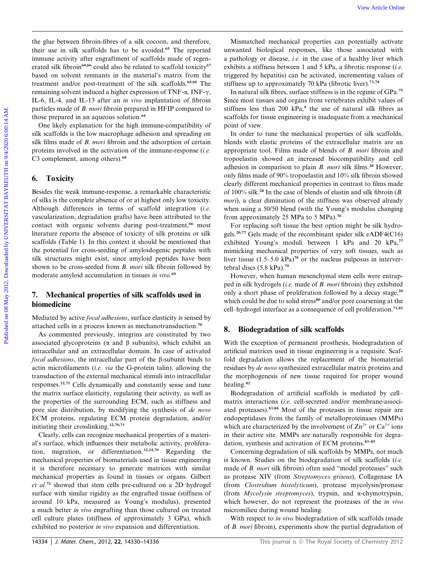the glue between fibroin-fibres of a silk cocoon, and therefore, their use in silk scaffolds has to be avoided.<sup>65</sup> The reported immune activity after engraftment of scaffolds made of regenerated silk fibroin<sup>64,66</sup> could also be related to scaffold toxicity<sup>67</sup> based on solvent remnants in the material's matrix from the treatment and/or post-treatment of the silk scaffolds.<sup>64,66</sup> The remaining solvent induced a higher expression of TNF- $\alpha$ , INF- $\gamma$ , IL-6, IL-4, and IL-13 after an in vivo implantation of fibroin particles made of B. mori fibroin prepared in HFIP compared to those prepared in an aqueous solution.<sup>64</sup>

One likely explanation for the high immune-compatibility of silk scaffolds is the low macrophage adhesion and spreading on silk films made of B. mori fibroin and the adsorption of certain proteins involved in the activation of the immune-response  $(i.e.$ C3 complement, among others).<sup>68</sup>

#### 6. Toxicity

Besides the weak immune-response, a remarkable characteristic of silks is the complete absence of or at highest only low toxicity. Although differences in terms of scaffold integration *(i.e.*) vascularization, degradation grafts) have been attributed to the contact with organic solvents during post-treatment,<sup>66</sup> most literature reports the absence of toxicity of silk proteins or silk scaffolds (Table 1). In this context it should be mentioned that the potential for cross-seeding of amyloidogenic peptides with silk structures might exist, since amyloid peptides have been shown to be cross-seeded from *B. mori* silk fibroin followed by moderate amyloid accumulation in tissues in vivo.<sup>69</sup>

#### 7. Mechanical properties of silk scaffolds used in biomedicine

Mediated by active focal adhesions, surface elasticity is sensed by attached cells in a process known as mechanotransduction.<sup>70</sup>

As commented previously, integrins are constituted by two associated glycoproteins ( $\alpha$  and  $\beta$  subunits), which exhibit an intracellular and an extracellular domain. In case of activated focal adhesions, the intracellular part of the  $\beta$ -subunit binds to actin microfilaments (i.e. via the G-protein talin), allowing the transduction of the external mechanical stimuli into intracellular responses.32,71 Cells dynamically and constantly sense and tune the matrix surface elasticity, regulating their activity, as well as the properties of the surrounding ECM, such as stiffness and pore size distribution, by modifying the synthesis of de novo ECM proteins, regulating ECM protein degradation, and/or initiating their crosslinking. $32,70,71$ 

Clearly, cells can recognize mechanical properties of a material's surface, which influences their metabolic activity, proliferation, migration, or differentiation.<sup>32,34,70</sup> Regarding the mechanical properties of biomaterials used in tissue engineering it is therefore necessary to generate matrices with similar mechanical properties as found in tissues or organs. Gilbert et al.<sup>72</sup> showed that stem cells pre-cultured on a 2D hydrogel surface with similar rigidity as the engrafted tissue (stiffness of around 10 kPa, measured as Young's modulus), presented a much better in vivo engrafting than those cultured on treated cell culture plates (stiffness of approximately 3 GPa), which exhibited no posterior in vivo expansion and differentiation.

Mismatched mechanical properties can potentially activate unwanted biological responses, like those associated with a pathology or disease, i.e. in the case of a healthy liver which exhibits a stiffness between 1 and 5 kPa, a fibrotic response (i.e. triggered by hepatitis) can be activated, incrementing values of stiffness up to approximately 70 kPa (fibrotic liver).<sup>73,74</sup>

In natural silk fibres, surface stiffness is in the regime of GPa.<sup>75</sup> Since most tissues and organs from vertebrates exhibit values of stiffness less than 200 kPa,<sup>4</sup> the use of natural silk fibres as scaffolds for tissue engineering is inadequate from a mechanical point of view.

In order to tune the mechanical properties of silk scaffolds, blends with elastic proteins of the extracellular matrix are an appropriate tool. Films made of blends of B. mori fibroin and tropoelastin showed an increased biocompatibility and cell adhesion in comparison to plain  $B$ . mori silk films.<sup>28</sup> However, only films made of 90% tropoelastin and 10% silk fibroin showed clearly different mechanical properties in contrast to films made of  $100\%$  silk.<sup>28</sup> In the case of blends of elastin and silk fibroin (B. mori), a clear diminution of the stiffness was observed already when using a 50/50 blend (with the Young's modulus changing from approximately 25 MPa to 5 MPa).<sup>76</sup> We have the state throm of the state of a sell-vectors, and therefore, Montached medianted properties on polesinally activite the respected on the state of the state of the state of the state of the state of the state of

For replacing soft tissue the best option might be silk hydrogels.20,77 Gels made of the recombinant spider silk eADF4(C16) exhibited Young's moduli between 1 kPa and 20 kPa,<sup>77</sup> mimicking mechanical properties of very soft tissues, such as liver tissue  $(1.5-5.0 \text{ kPa})^{78}$  or the nucleus pulposus in intervertebral discs (5.8 kPa).<sup>79</sup>

However, when human mesenchymal stem cells were entrapped in silk hydrogels (i.e. made of B. mori fibroin) they exhibited only a short phase of proliferation followed by a decay stage,<sup>20</sup> which could be due to solid stress<sup>80</sup> and/or pore coarsening at the cell–hydrogel interface as a consequence of cell proliferation.73,81

#### 8. Biodegradation of silk scaffolds

With the exception of permanent prosthesis, biodegradation of artificial matrices used in tissue engineering is a requisite. Scaffold degradation allows the replacement of the biomaterial residues by de novo synthesized extracellular matrix proteins and the morphogenesis of new tissue required for proper wound healing.<sup>82</sup>

Biodegradation of artificial scaffolds is mediated by cell– matrix interactions (i.e. cell-secreted and/or membrane-associated proteases).83,84 Most of the proteases in tissue repair are endopeptidases from the family of metalloproteinases (MMPs) which are characterized by the involvement of  $\text{Zn}^{2+}$  or  $\text{Ca}^{2+}$  ions in their active site. MMPs are naturally responsible for degradation, synthesis and activation of ECM proteins.<sup>83-85</sup>

Concerning degradation of silk scaffolds by MMPs, not much is known. Studies on the biodegradation of silk scaffolds *(i.e.*) made of *B. mori* silk fibroin) often used "model proteases" such as protease XIV (from Streptomyces griseus), Collagenase IA (from Clostridium histolyticum), protease mycolysin/pronase (from  $Mycolysin$  streptomyces), trypsin, and  $\alpha$ -chymotrypsin, which however, do not represent the proteases of the in vivo micromilieu during wound healing.

With respect to in vivo biodegradation of silk scaffolds (made of B. mori fibroin), experiments show the partial degradation of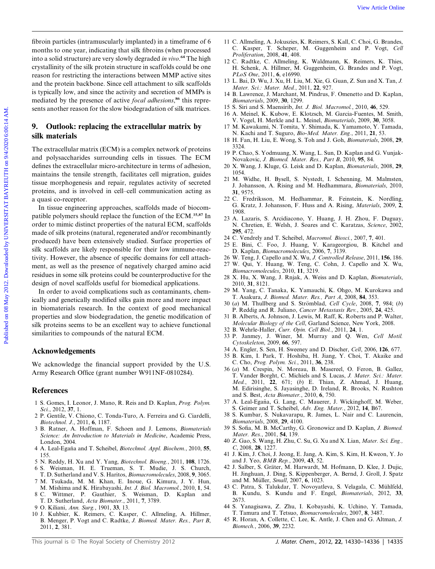fibroin particles (intramuscularly implanted) in a timeframe of 6 months to one year, indicating that silk fibroins (when processed into a solid structure) are very slowly degraded in vivo.<sup>64</sup> The high crystallinity of the silk protein structure in scaffolds could be one reason for restricting the interactions between MMP active sites and the protein backbone. Since cell attachment to silk scaffolds is typically low, and since the activity and secretion of MMPs is mediated by the presence of active *focal adhesions*,<sup>86</sup> this represents another reason for the slow biodegradation of silk matrices.

#### 9. Outlook: replacing the extracellular matrix by silk materials

The extracellular matrix (ECM) is a complex network of proteins and polysaccharides surrounding cells in tissues. The ECM defines the extracellular micro-architecture in terms of adhesion, maintains the tensile strength, facilitates cell migration, guides tissue morphogenesis and repair, regulates activity of secreted proteins, and is involved in cell–cell communication acting as a quasi co-receptor.

In tissue engineering approaches, scaffolds made of biocompatible polymers should replace the function of the ECM.35,87 In order to mimic distinct properties of the natural ECM, scaffolds made of silk proteins (natural, regenerated and/or recombinantly produced) have been extensively studied. Surface properties of silk scaffolds are likely responsible for their low immune-reactivity. However, the absence of specific domains for cell attachment, as well as the presence of negatively charged amino acid residues in some silk proteins could be counterproductive for the design of novel scaffolds useful for biomedical applications. We were controlled to produce the methods of the methods of the methods of the methods of the methods of the methods of the methods of the methods of the methods of the methods of the methods of the methods of the methods

In order to avoid complications such as contaminants, chemically and genetically modified silks gain more and more impact in biomaterials research. In the context of good mechanical properties and slow biodegradation, the genetic modification of silk proteins seems to be an excellent way to achieve functional similarities to compounds of the natural ECM.

#### Acknowledgements

We acknowledge the financial support provided by the U.S. Army Research Office (grant number W911NF-0810284).

#### References

- 1 S. Gomes, I. Leonor, J. Mano, R. Reis and D. Kaplan, Prog. Polym. Sci., 2012, 37, 1.
- 2 P. Gentile, V. Chiono, C. Tonda-Turo, A. Ferreira and G. Ciardelli, Biotechnol. J., 2011, 6, 1187.
- 3 B. Ratner, A. Hoffman, F. Schoen and J. Lemons, Biomaterials Science: An Introduction to Materials in Medicine, Academic Press, London, 2004.
- 4 A. Leal-Egaña and T. Scheibel, Biotechnol. Appl. Biochem., 2010, 55, 155.
- 5 N. Reddy, H. Xu and Y. Yang, Biotechnol. Bioeng., 2011, 108, 1726.
- 6 S. Weisman, H. E. Trueman, S. T. Mudie, J. S. Church, T. D. Sutherland and V. S. Haritos, Biomacromolecules, 2008, 9, 3065.
- 7 M. Tsukada, M. M. Khan, E. Inoue, G. Kimura, J. Y. Hun, M. Mishima and K. Hirabayashi, Int. J. Biol. Macromol., 2010, 1, 54.
- 8 C. Wittmer, P. Gauthier, S. Weisman, D. Kaplan and T. D. Sutherland, Acta Biomater., 2011, 7, 3789.
- 9 O. Kiliani, Ann. Surg., 1901, 33, 13.
- 10 J. Kuhbier, K. Reimers, C. Kasper, C. Allmeling, A. Hillmer, B. Menger, P. Vogt and C. Radtke, J. Biomed. Mater. Res., Part B, 2011, 2, 381.
- 11 C. Allmeling, A. Jokuszies, K. Reimers, S. Kall, C. Choi, G. Brandes, C. Kasper, T. Scheper, M. Guggenheim and P. Vogt, Cell Proliferation, 2008, 41, 408.
- 12 C. Radtke, C. Allmeling, K. Waldmann, K. Reimers, K. Thies, H. Schenk, A. Hillmer, M. Guggenheim, G. Brandes and P. Vogt, PLoS One, 2011, 6, e16990.
- 13 L. Bai, D. Wu, J. Xu, H. Liu, M. Xie, G. Guan, Z. Sun and X. Tan, J. Mater. Sci.: Mater. Med., 2011, 22, 927.
- 14 B. Lawrence, J. Marchant, M. Pindrus, F. Omenetto and D. Kaplan, Biomaterials, 2009, 30, 1299.
- 15 S. Siri and S. Maensirib, Int. J. Biol. Macromol., 2010, 46, 529.
- 16 A. Meinel, K. Kubow, E. Klotzsch, M. Garcia-Fuentes, M. Smith, V. Vogel, H. Merkle and L. Meinel, Biomaterials, 2009, 30, 3058.
- 17 M. Kawakami, N. Tomita, Y. Shimada, K. Yamamoto, Y. Tamada, N. Kachi and T. Suguro, Bio-Med. Mater. Eng., 2011, 21, 53.
- 18 H. Fan, H. Liu, E. Wong, S. Toh and J. Goh, Biomaterials, 2008, 29, 3324.
- 19 P. Chao, S. Yodmuang, X. Wang, L. Sun, D. Kaplan and G. Vunjak-Novakovic, J. Biomed. Mater. Res., Part B, 2010, 95, 84.
- 20 X. Wang, J. Kluge, G. Leisk and D. Kaplan, Biomaterials, 2008, 29, 1054.
- 21 M. Widhe, H. Bysell, S. Nystedt, I. Schenning, M. Malmsten, J. Johansson, A. Rising and M. Hedhammara, Biomaterials, 2010, 31, 9575.
- 22 C. Fredriksson, M. Hedhammar, R. Feinstein, K. Nordling, G. Kratz, J. Johansson, F. Huss and A. Rising, Materials, 2009, 2, 1908.
- 23 A. Lazaris, S. Arcidiacono, Y. Huang, J. H. Zhou, F. Duguay, N. Chretien, E. Welsh, J. Soares and C. Karatzas, Science, 2002, 295, 472.
- 24 C. Vendrely and T. Scheibel, Macromol. Biosci., 2007, 7, 401.
- 25 E. Bini, C. Foo, J. Huang, V. Karageorgiou, B. Kitchel and D. Kaplan, Biomacromolecules, 2006, 7, 3139.
- 26 W. Teng, J. Capello and X. Wu, J. Controlled Release, 2011, 156, 186. 27 W. Qui, Y. Huang, W. Teng, C. Cohn, J. Capello and X. Wu, Biomacromolecules, 2010, 11, 3219.
- 28 X. Hu, X. Wang, J. Rnjak, A. Weiss and D. Kaplan, Biomaterials, 2010, 31, 8121.
- 29 M. Yang, C. Tanaka, K. Yamauchi, K. Ohgo, M. Kurokawa and T. Asakura, J. Biomed. Mater. Res., Part A, 2008, 84, 353.
- 30 (a) M. Thullberg and S. Strömblad, Cell Cycle, 2008, 7, 984; (b) P. Reddig and R. Juliano, Cancer Metastasis Rev., 2005, 24, 425.
- 31 B. Alberts, A. Johnson, J. Lewis, M. Raff, K. Roberts and P. Walter, Molecular Biology of the Cell, Garland Science, New York, 2008.
- 32 B. Wehrle-Haller, Curr. Opin. Cell Biol., 2011, 24, 1.
- 33 P. Janmey, J. Winer, M. Murray and Q. Wen, Cell Motil. Cytoskeleton, 2009, 66, 597.
- 34 A. Engler, S. Sen, H. Sweeney and D. Discher, Cell, 2006, 126, 677.
- 35 B. Kim, I. Park, T. Hoshiba, H. Jiang, Y. Choi, T. Akaike and C. Cho, Prog. Polym. Sci., 2011, 36, 238.
- 36 (a) M. Crespin, N. Moreau, B. Masereel, O. Feron, B. Gallez, T. Vander Borght, C. Michiels and S. Lucas, J. Mater. Sci.: Mater. *Med.*, 2011, **22**, 671; (b) E. Thian, Z. Ahmad, J. Huang, M. Edirisinghe, S. Jayasinghe, D. Ireland, R. Brooks, N. Rushton and S. Best, Acta Biomater., 2010, 6, 750.
- 37 A. Leal-Egaña, G. Lang, C. Mauerer, J. Wickinghoff, M. Weber, S. Geimer and T. Scheibel, Adv. Eng. Mater., 2012, 14, B67.
- 38 S. Kumbar, S. Nukavarapu, R. James, L. Nair and C. Laurencin, Biomaterials, 2008, 29, 4100.
- 39 S. Sofia, M. B. McCarthy, G. Gronowicz and D. Kaplan, J. Biomed. Mater. Res., 2001, 54, 139.
- 40 Z. Gao, S. Wang, H. Zhu, C. Su, G. Xu and X. Lian, Mater. Sci. Eng., C, 2008, 28, 1227.
- 41 J. Kim, J. Choi, J. Jeong, E. Jang, A. Kim, S. Kim, H. Kweon, Y. Jo and J. Yeo, BMB Rep., 2009, 43, 52.
- 42 J. Salber, S. Gräter, M. Harwardt, M. Hofmann, D. Klee, J. Dujic, H. Jinghuan, J. Ding, S. Kippenberger, A. Bernd, J. Groll, J. Spatz and M. Müller, *Small*, 2007, 6, 1023.
- 43 C. Patra, S. Talukdar, T. Novoyatleva, S. Velagala, C. Mühlfeld, B. Kundu, S. Kundu and F. Engel, Biomaterials, 2012, 33, 2673.
- 44 S. Yanagisawa, Z. Zhu, I. Kobayashi, K. Uchino, Y. Tamada, T. Tamura and T. Tetsuo, Biomacromolecules, 2007, 8, 3487.
- 45 R. Horan, A. Collette, C. Lee, K. Antle, J. Chen and G. Altman, J. Biomech., 2006, 39, 2232.